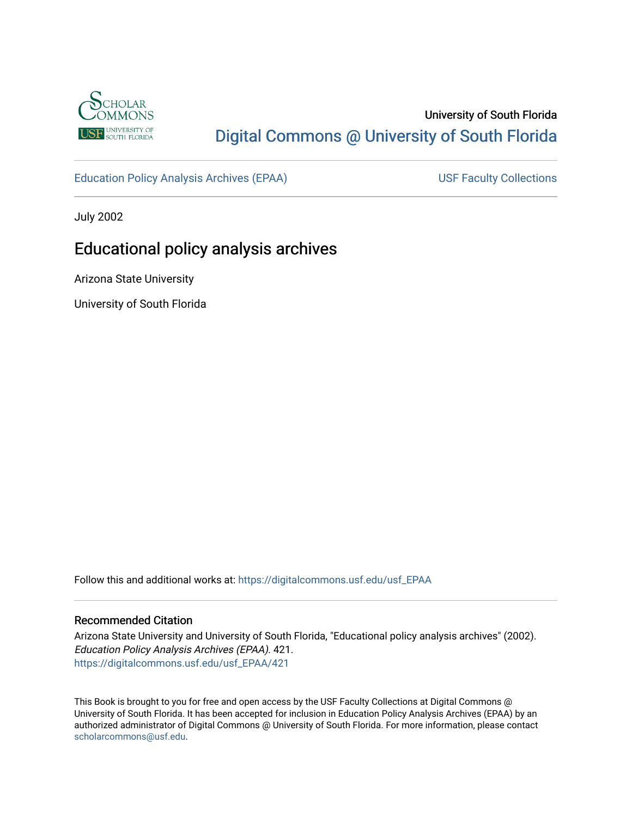

# University of South Florida [Digital Commons @ University of South Florida](https://digitalcommons.usf.edu/)

[Education Policy Analysis Archives \(EPAA\)](https://digitalcommons.usf.edu/usf_EPAA) USF Faculty Collections

July 2002

# Educational policy analysis archives

Arizona State University

University of South Florida

Follow this and additional works at: [https://digitalcommons.usf.edu/usf\\_EPAA](https://digitalcommons.usf.edu/usf_EPAA?utm_source=digitalcommons.usf.edu%2Fusf_EPAA%2F421&utm_medium=PDF&utm_campaign=PDFCoverPages)

#### Recommended Citation

Arizona State University and University of South Florida, "Educational policy analysis archives" (2002). Education Policy Analysis Archives (EPAA). 421. [https://digitalcommons.usf.edu/usf\\_EPAA/421](https://digitalcommons.usf.edu/usf_EPAA/421?utm_source=digitalcommons.usf.edu%2Fusf_EPAA%2F421&utm_medium=PDF&utm_campaign=PDFCoverPages)

This Book is brought to you for free and open access by the USF Faculty Collections at Digital Commons @ University of South Florida. It has been accepted for inclusion in Education Policy Analysis Archives (EPAA) by an authorized administrator of Digital Commons @ University of South Florida. For more information, please contact [scholarcommons@usf.edu.](mailto:scholarcommons@usf.edu)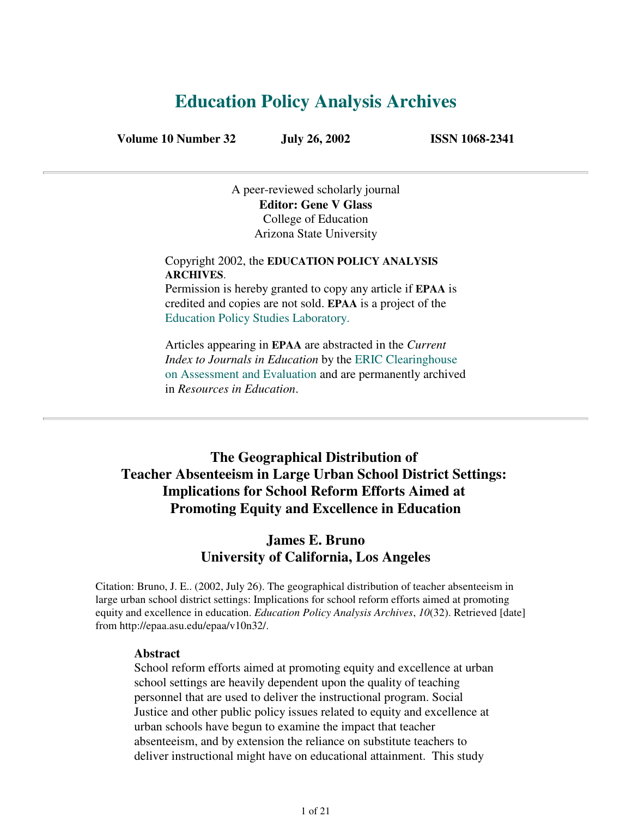# **Education Policy Analysis Archives**

**Volume 10 Number 32 July 26, 2002 ISSN 1068-2341**

A peer-reviewed scholarly journal **Editor: Gene V Glass** College of Education Arizona State University

Copyright 2002, the **EDUCATION POLICY ANALYSIS ARCHIVES**.

Permission is hereby granted to copy any article if **EPAA** is credited and copies are not sold. **EPAA** is a project of the Education Policy Studies Laboratory.

Articles appearing in **EPAA** are abstracted in the *Current Index to Journals in Education* by the ERIC Clearinghouse on Assessment and Evaluation and are permanently archived in *Resources in Education*.

## **The Geographical Distribution of Teacher Absenteeism in Large Urban School District Settings: Implications for School Reform Efforts Aimed at Promoting Equity and Excellence in Education**

### **James E. Bruno University of California, Los Angeles**

Citation: Bruno, J. E.. (2002, July 26). The geographical distribution of teacher absenteeism in large urban school district settings: Implications for school reform efforts aimed at promoting equity and excellence in education. *Education Policy Analysis Archives*, *10*(32). Retrieved [date] from http://epaa.asu.edu/epaa/v10n32/.

#### **Abstract**

School reform efforts aimed at promoting equity and excellence at urban school settings are heavily dependent upon the quality of teaching personnel that are used to deliver the instructional program. Social Justice and other public policy issues related to equity and excellence at urban schools have begun to examine the impact that teacher absenteeism, and by extension the reliance on substitute teachers to deliver instructional might have on educational attainment. This study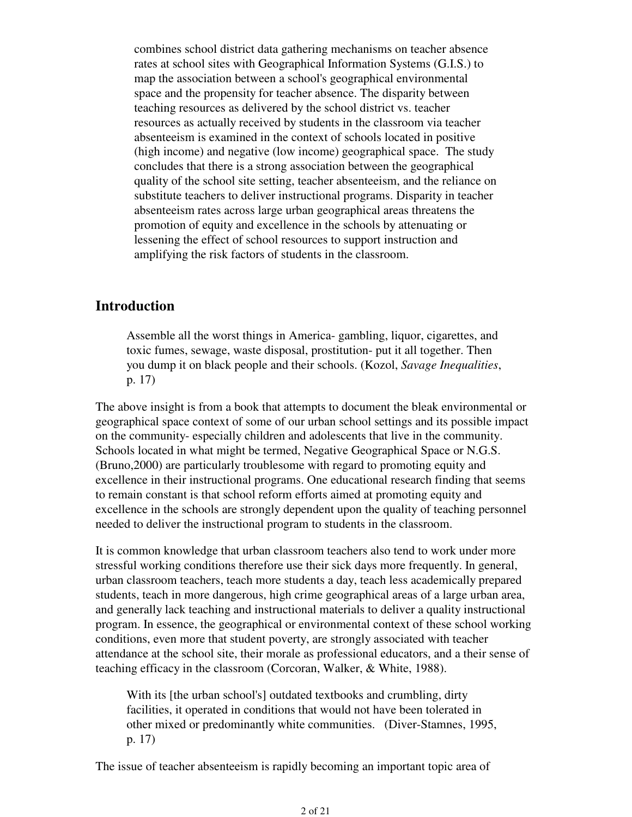combines school district data gathering mechanisms on teacher absence rates at school sites with Geographical Information Systems (G.I.S.) to map the association between a school's geographical environmental space and the propensity for teacher absence. The disparity between teaching resources as delivered by the school district vs. teacher resources as actually received by students in the classroom via teacher absenteeism is examined in the context of schools located in positive (high income) and negative (low income) geographical space. The study concludes that there is a strong association between the geographical quality of the school site setting, teacher absenteeism, and the reliance on substitute teachers to deliver instructional programs. Disparity in teacher absenteeism rates across large urban geographical areas threatens the promotion of equity and excellence in the schools by attenuating or lessening the effect of school resources to support instruction and amplifying the risk factors of students in the classroom.

#### **Introduction**

Assemble all the worst things in America- gambling, liquor, cigarettes, and toxic fumes, sewage, waste disposal, prostitution- put it all together. Then you dump it on black people and their schools. (Kozol, *Savage Inequalities*, p. 17)

The above insight is from a book that attempts to document the bleak environmental or geographical space context of some of our urban school settings and its possible impact on the community- especially children and adolescents that live in the community. Schools located in what might be termed, Negative Geographical Space or N.G.S. (Bruno,2000) are particularly troublesome with regard to promoting equity and excellence in their instructional programs. One educational research finding that seems to remain constant is that school reform efforts aimed at promoting equity and excellence in the schools are strongly dependent upon the quality of teaching personnel needed to deliver the instructional program to students in the classroom.

It is common knowledge that urban classroom teachers also tend to work under more stressful working conditions therefore use their sick days more frequently. In general, urban classroom teachers, teach more students a day, teach less academically prepared students, teach in more dangerous, high crime geographical areas of a large urban area, and generally lack teaching and instructional materials to deliver a quality instructional program. In essence, the geographical or environmental context of these school working conditions, even more that student poverty, are strongly associated with teacher attendance at the school site, their morale as professional educators, and a their sense of teaching efficacy in the classroom (Corcoran, Walker, & White, 1988).

With its [the urban school's] outdated textbooks and crumbling, dirty facilities, it operated in conditions that would not have been tolerated in other mixed or predominantly white communities. (Diver-Stamnes, 1995, p. 17)

The issue of teacher absenteeism is rapidly becoming an important topic area of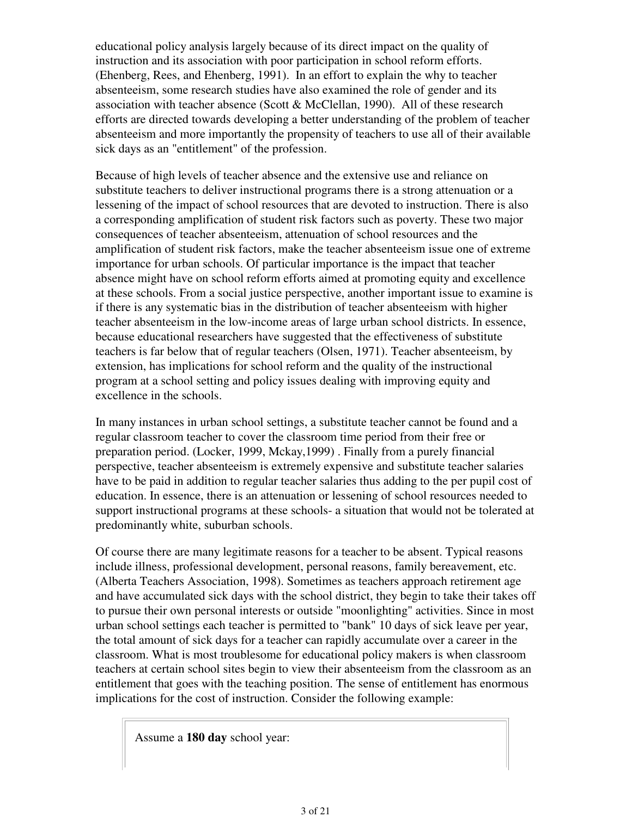educational policy analysis largely because of its direct impact on the quality of instruction and its association with poor participation in school reform efforts. (Ehenberg, Rees, and Ehenberg, 1991). In an effort to explain the why to teacher absenteeism, some research studies have also examined the role of gender and its association with teacher absence (Scott & McClellan, 1990). All of these research efforts are directed towards developing a better understanding of the problem of teacher absenteeism and more importantly the propensity of teachers to use all of their available sick days as an "entitlement" of the profession.

Because of high levels of teacher absence and the extensive use and reliance on substitute teachers to deliver instructional programs there is a strong attenuation or a lessening of the impact of school resources that are devoted to instruction. There is also a corresponding amplification of student risk factors such as poverty. These two major consequences of teacher absenteeism, attenuation of school resources and the amplification of student risk factors, make the teacher absenteeism issue one of extreme importance for urban schools. Of particular importance is the impact that teacher absence might have on school reform efforts aimed at promoting equity and excellence at these schools. From a social justice perspective, another important issue to examine is if there is any systematic bias in the distribution of teacher absenteeism with higher teacher absenteeism in the low-income areas of large urban school districts. In essence, because educational researchers have suggested that the effectiveness of substitute teachers is far below that of regular teachers (Olsen, 1971). Teacher absenteeism, by extension, has implications for school reform and the quality of the instructional program at a school setting and policy issues dealing with improving equity and excellence in the schools.

In many instances in urban school settings, a substitute teacher cannot be found and a regular classroom teacher to cover the classroom time period from their free or preparation period. (Locker, 1999, Mckay,1999) . Finally from a purely financial perspective, teacher absenteeism is extremely expensive and substitute teacher salaries have to be paid in addition to regular teacher salaries thus adding to the per pupil cost of education. In essence, there is an attenuation or lessening of school resources needed to support instructional programs at these schools- a situation that would not be tolerated at predominantly white, suburban schools.

Of course there are many legitimate reasons for a teacher to be absent. Typical reasons include illness, professional development, personal reasons, family bereavement, etc. (Alberta Teachers Association, 1998). Sometimes as teachers approach retirement age and have accumulated sick days with the school district, they begin to take their takes off to pursue their own personal interests or outside "moonlighting" activities. Since in most urban school settings each teacher is permitted to "bank" 10 days of sick leave per year, the total amount of sick days for a teacher can rapidly accumulate over a career in the classroom. What is most troublesome for educational policy makers is when classroom teachers at certain school sites begin to view their absenteeism from the classroom as an entitlement that goes with the teaching position. The sense of entitlement has enormous implications for the cost of instruction. Consider the following example:

Assume a **180 day** school year: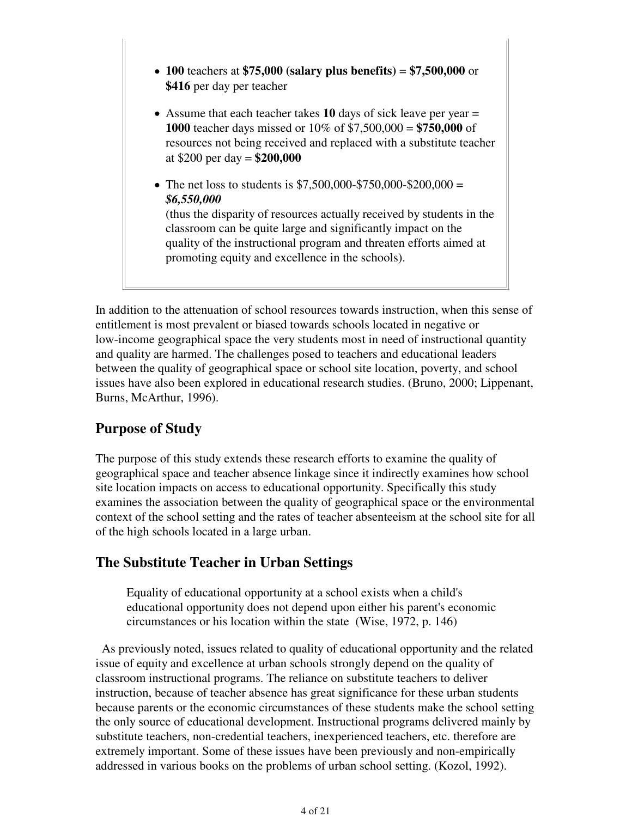- **100** teachers at **\$75,000 (salary plus benefits)** = **\$7,500,000** or **\$416** per day per teacher
- Assume that each teacher takes **10** days of sick leave per year = **1000** teacher days missed or 10% of \$7,500,000 = **\$750,000** of resources not being received and replaced with a substitute teacher at \$200 per day = **\$200,000**
- The net loss to students is  $$7,500,000$ - $$750,000$ - $$200,000$  = *\$6,550,000* (thus the disparity of resources actually received by students in the classroom can be quite large and significantly impact on the quality of the instructional program and threaten efforts aimed at promoting equity and excellence in the schools).

In addition to the attenuation of school resources towards instruction, when this sense of entitlement is most prevalent or biased towards schools located in negative or low-income geographical space the very students most in need of instructional quantity and quality are harmed. The challenges posed to teachers and educational leaders between the quality of geographical space or school site location, poverty, and school issues have also been explored in educational research studies. (Bruno, 2000; Lippenant, Burns, McArthur, 1996).

## **Purpose of Study**

The purpose of this study extends these research efforts to examine the quality of geographical space and teacher absence linkage since it indirectly examines how school site location impacts on access to educational opportunity. Specifically this study examines the association between the quality of geographical space or the environmental context of the school setting and the rates of teacher absenteeism at the school site for all of the high schools located in a large urban.

## **The Substitute Teacher in Urban Settings**

Equality of educational opportunity at a school exists when a child's educational opportunity does not depend upon either his parent's economic circumstances or his location within the state (Wise, 1972, p. 146)

 As previously noted, issues related to quality of educational opportunity and the related issue of equity and excellence at urban schools strongly depend on the quality of classroom instructional programs. The reliance on substitute teachers to deliver instruction, because of teacher absence has great significance for these urban students because parents or the economic circumstances of these students make the school setting the only source of educational development. Instructional programs delivered mainly by substitute teachers, non-credential teachers, inexperienced teachers, etc. therefore are extremely important. Some of these issues have been previously and non-empirically addressed in various books on the problems of urban school setting. (Kozol, 1992).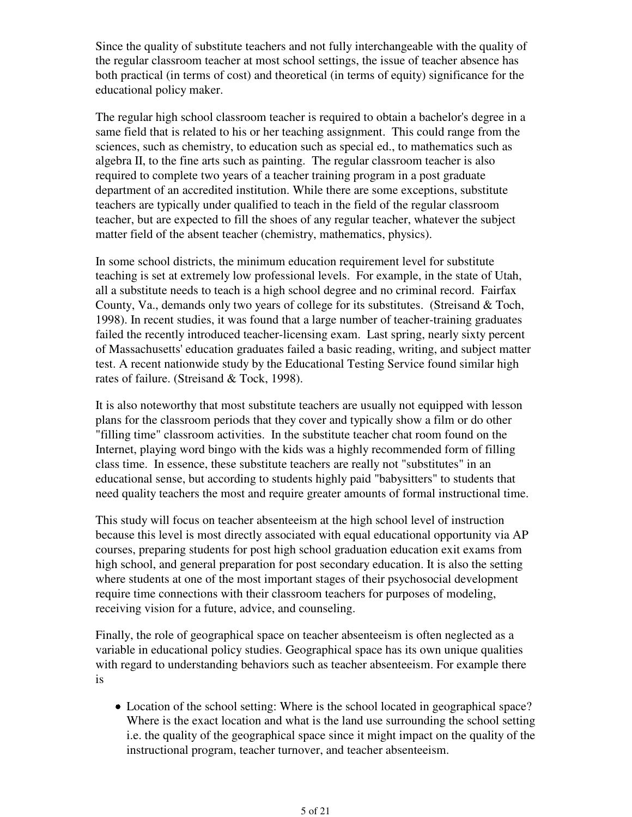Since the quality of substitute teachers and not fully interchangeable with the quality of the regular classroom teacher at most school settings, the issue of teacher absence has both practical (in terms of cost) and theoretical (in terms of equity) significance for the educational policy maker.

The regular high school classroom teacher is required to obtain a bachelor's degree in a same field that is related to his or her teaching assignment. This could range from the sciences, such as chemistry, to education such as special ed., to mathematics such as algebra II, to the fine arts such as painting. The regular classroom teacher is also required to complete two years of a teacher training program in a post graduate department of an accredited institution. While there are some exceptions, substitute teachers are typically under qualified to teach in the field of the regular classroom teacher, but are expected to fill the shoes of any regular teacher, whatever the subject matter field of the absent teacher (chemistry, mathematics, physics).

In some school districts, the minimum education requirement level for substitute teaching is set at extremely low professional levels. For example, in the state of Utah, all a substitute needs to teach is a high school degree and no criminal record. Fairfax County, Va., demands only two years of college for its substitutes. (Streisand & Toch, 1998). In recent studies, it was found that a large number of teacher-training graduates failed the recently introduced teacher-licensing exam. Last spring, nearly sixty percent of Massachusetts' education graduates failed a basic reading, writing, and subject matter test. A recent nationwide study by the Educational Testing Service found similar high rates of failure. (Streisand & Tock, 1998).

It is also noteworthy that most substitute teachers are usually not equipped with lesson plans for the classroom periods that they cover and typically show a film or do other "filling time" classroom activities. In the substitute teacher chat room found on the Internet, playing word bingo with the kids was a highly recommended form of filling class time. In essence, these substitute teachers are really not "substitutes" in an educational sense, but according to students highly paid "babysitters" to students that need quality teachers the most and require greater amounts of formal instructional time.

This study will focus on teacher absenteeism at the high school level of instruction because this level is most directly associated with equal educational opportunity via AP courses, preparing students for post high school graduation education exit exams from high school, and general preparation for post secondary education. It is also the setting where students at one of the most important stages of their psychosocial development require time connections with their classroom teachers for purposes of modeling, receiving vision for a future, advice, and counseling.

Finally, the role of geographical space on teacher absenteeism is often neglected as a variable in educational policy studies. Geographical space has its own unique qualities with regard to understanding behaviors such as teacher absenteeism. For example there is

Location of the school setting: Where is the school located in geographical space? Where is the exact location and what is the land use surrounding the school setting i.e. the quality of the geographical space since it might impact on the quality of the instructional program, teacher turnover, and teacher absenteeism.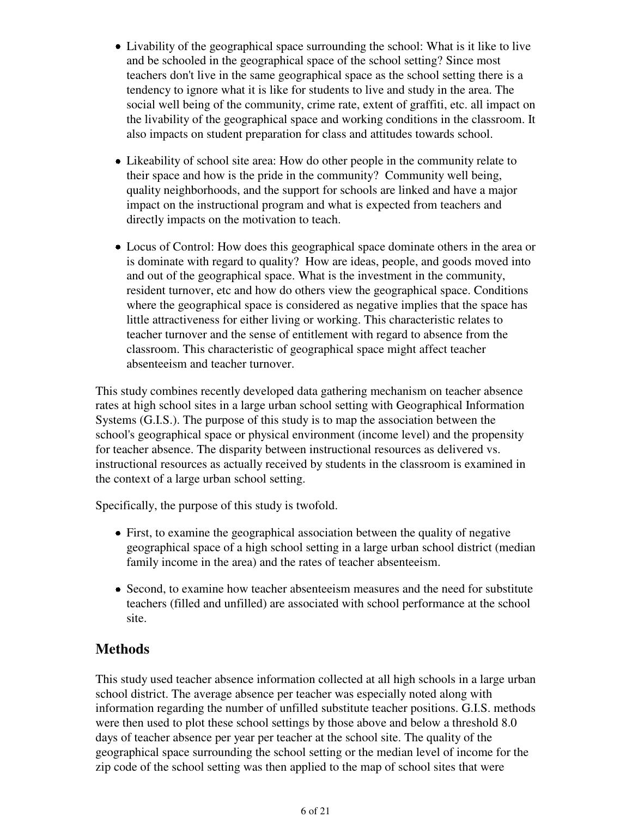- Livability of the geographical space surrounding the school: What is it like to live and be schooled in the geographical space of the school setting? Since most teachers don't live in the same geographical space as the school setting there is a tendency to ignore what it is like for students to live and study in the area. The social well being of the community, crime rate, extent of graffiti, etc. all impact on the livability of the geographical space and working conditions in the classroom. It also impacts on student preparation for class and attitudes towards school.
- Likeability of school site area: How do other people in the community relate to their space and how is the pride in the community? Community well being, quality neighborhoods, and the support for schools are linked and have a major impact on the instructional program and what is expected from teachers and directly impacts on the motivation to teach.
- Locus of Control: How does this geographical space dominate others in the area or is dominate with regard to quality? How are ideas, people, and goods moved into and out of the geographical space. What is the investment in the community, resident turnover, etc and how do others view the geographical space. Conditions where the geographical space is considered as negative implies that the space has little attractiveness for either living or working. This characteristic relates to teacher turnover and the sense of entitlement with regard to absence from the classroom. This characteristic of geographical space might affect teacher absenteeism and teacher turnover.

This study combines recently developed data gathering mechanism on teacher absence rates at high school sites in a large urban school setting with Geographical Information Systems (G.I.S.). The purpose of this study is to map the association between the school's geographical space or physical environment (income level) and the propensity for teacher absence. The disparity between instructional resources as delivered vs. instructional resources as actually received by students in the classroom is examined in the context of a large urban school setting.

Specifically, the purpose of this study is twofold.

- First, to examine the geographical association between the quality of negative geographical space of a high school setting in a large urban school district (median family income in the area) and the rates of teacher absenteeism.
- Second, to examine how teacher absenteeism measures and the need for substitute teachers (filled and unfilled) are associated with school performance at the school site.

## **Methods**

This study used teacher absence information collected at all high schools in a large urban school district. The average absence per teacher was especially noted along with information regarding the number of unfilled substitute teacher positions. G.I.S. methods were then used to plot these school settings by those above and below a threshold 8.0 days of teacher absence per year per teacher at the school site. The quality of the geographical space surrounding the school setting or the median level of income for the zip code of the school setting was then applied to the map of school sites that were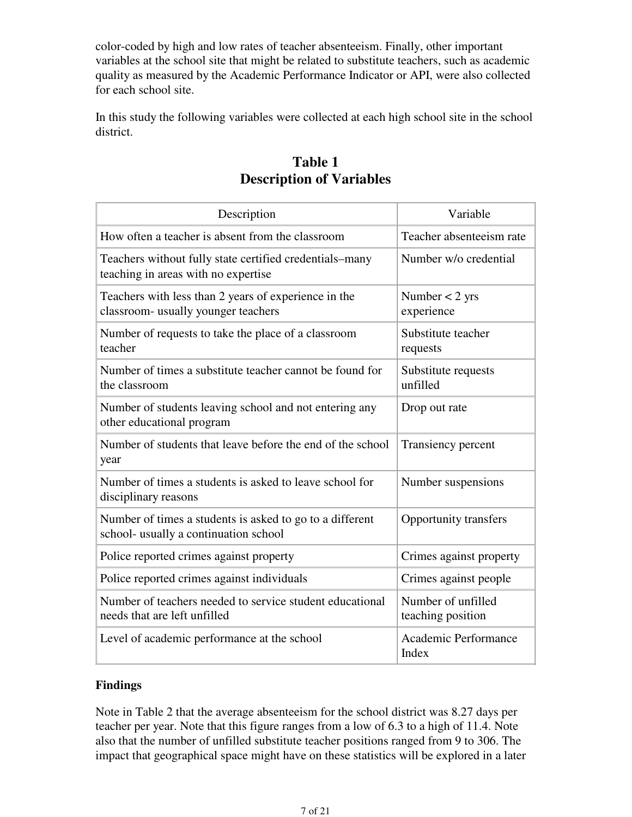color-coded by high and low rates of teacher absenteeism. Finally, other important variables at the school site that might be related to substitute teachers, such as academic quality as measured by the Academic Performance Indicator or API, were also collected for each school site.

In this study the following variables were collected at each high school site in the school district.

| Description                                                                                       | Variable                                |
|---------------------------------------------------------------------------------------------------|-----------------------------------------|
| How often a teacher is absent from the classroom                                                  | Teacher absenteeism rate                |
| Teachers without fully state certified credentials–many<br>teaching in areas with no expertise    | Number w/o credential                   |
| Teachers with less than 2 years of experience in the<br>classroom- usually younger teachers       | Number $<$ 2 yrs<br>experience          |
| Number of requests to take the place of a classroom<br>teacher                                    | Substitute teacher<br>requests          |
| Number of times a substitute teacher cannot be found for<br>the classroom                         | Substitute requests<br>unfilled         |
| Number of students leaving school and not entering any<br>other educational program               | Drop out rate                           |
| Number of students that leave before the end of the school<br>year                                | Transiency percent                      |
| Number of times a students is asked to leave school for<br>disciplinary reasons                   | Number suspensions                      |
| Number of times a students is asked to go to a different<br>school- usually a continuation school | <b>Opportunity transfers</b>            |
| Police reported crimes against property                                                           | Crimes against property                 |
| Police reported crimes against individuals                                                        | Crimes against people                   |
| Number of teachers needed to service student educational<br>needs that are left unfilled          | Number of unfilled<br>teaching position |
| Level of academic performance at the school                                                       | Academic Performance<br>Index           |

## **Table 1 Description of Variables**

#### **Findings**

Note in Table 2 that the average absenteeism for the school district was 8.27 days per teacher per year. Note that this figure ranges from a low of 6.3 to a high of 11.4. Note also that the number of unfilled substitute teacher positions ranged from 9 to 306. The impact that geographical space might have on these statistics will be explored in a later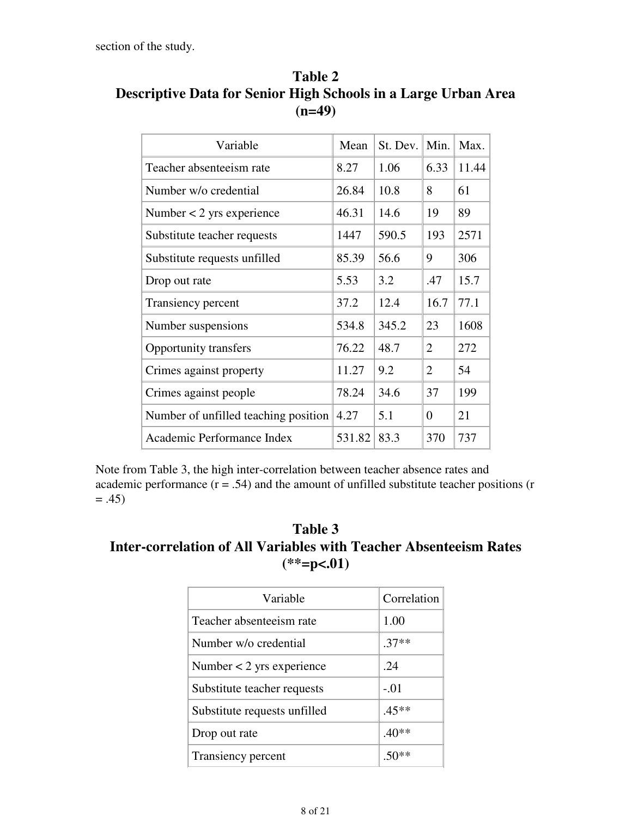section of the study.

| Variable                             | Mean   | St. Dev. | Min.           | Max.  |
|--------------------------------------|--------|----------|----------------|-------|
| Teacher absenteeism rate             | 8.27   | 1.06     | 6.33           | 11.44 |
| Number w/o credential                | 26.84  | 10.8     | 8              | 61    |
| Number $<$ 2 yrs experience          | 46.31  | 14.6     | 19             | 89    |
| Substitute teacher requests          | 1447   | 590.5    | 193            | 2571  |
| Substitute requests unfilled         | 85.39  | 56.6     | 9              | 306   |
| Drop out rate                        | 5.53   | 3.2      | .47            | 15.7  |
| Transiency percent                   | 37.2   | 12.4     | 16.7           | 77.1  |
| Number suspensions                   | 534.8  | 345.2    | 23             | 1608  |
| Opportunity transfers                | 76.22  | 48.7     | $\overline{2}$ | 272   |
| Crimes against property              | 11.27  | 9.2      | $\overline{2}$ | 54    |
| Crimes against people                | 78.24  | 34.6     | 37             | 199   |
| Number of unfilled teaching position | 4.27   | 5.1      | $\theta$       | 21    |
| Academic Performance Index           | 531.82 | 83.3     | 370            | 737   |

**Table 2 Descriptive Data for Senior High Schools in a Large Urban Area (n=49)**

Note from Table 3, the high inter-correlation between teacher absence rates and academic performance  $(r = .54)$  and the amount of unfilled substitute teacher positions (r  $= .45)$ 

## **Table 3 Inter-correlation of All Variables with Teacher Absenteeism Rates (\*\*=p<.01)**

| Variable                     | Correlation |
|------------------------------|-------------|
| Teacher absenteeism rate     | 1.00        |
| Number w/o credential        | $.37**$     |
| Number $<$ 2 yrs experience  | -24         |
| Substitute teacher requests  | $-.01$      |
| Substitute requests unfilled | $.45**$     |
| Drop out rate                | $.40**$     |
| Transiency percent           | $.50**$     |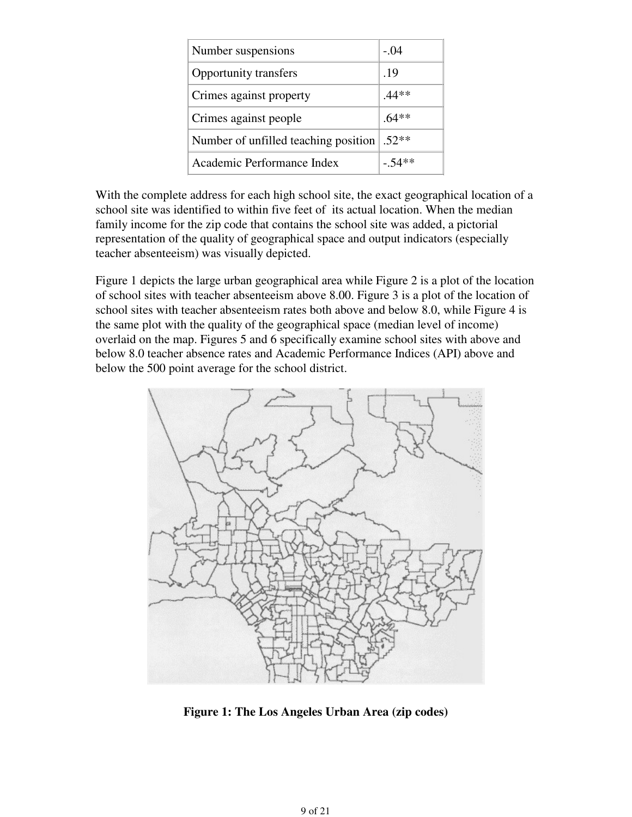| Number suspensions                   | $-.04$   |
|--------------------------------------|----------|
| Opportunity transfers                | .19      |
| Crimes against property              | $.44**$  |
| Crimes against people                | $.64**$  |
| Number of unfilled teaching position | $.52**$  |
| Academic Performance Index           | $-.54**$ |

With the complete address for each high school site, the exact geographical location of a school site was identified to within five feet of its actual location. When the median family income for the zip code that contains the school site was added, a pictorial representation of the quality of geographical space and output indicators (especially teacher absenteeism) was visually depicted.

Figure 1 depicts the large urban geographical area while Figure 2 is a plot of the location of school sites with teacher absenteeism above 8.00. Figure 3 is a plot of the location of school sites with teacher absenteeism rates both above and below 8.0, while Figure 4 is the same plot with the quality of the geographical space (median level of income) overlaid on the map. Figures 5 and 6 specifically examine school sites with above and below 8.0 teacher absence rates and Academic Performance Indices (API) above and below the 500 point average for the school district.



**Figure 1: The Los Angeles Urban Area (zip codes)**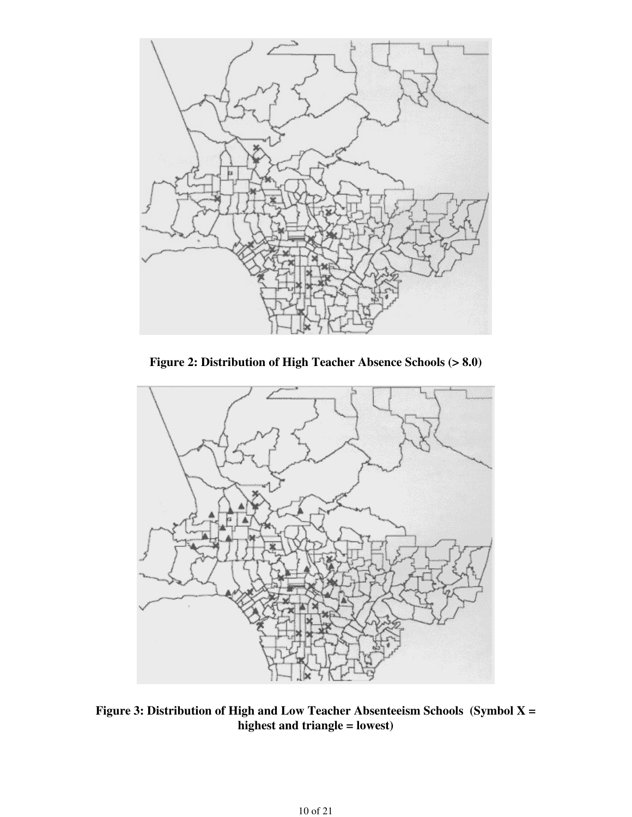

**Figure 2: Distribution of High Teacher Absence Schools (> 8.0)**



**Figure 3: Distribution of High and Low Teacher Absenteeism Schools (Symbol X = highest and triangle = lowest)**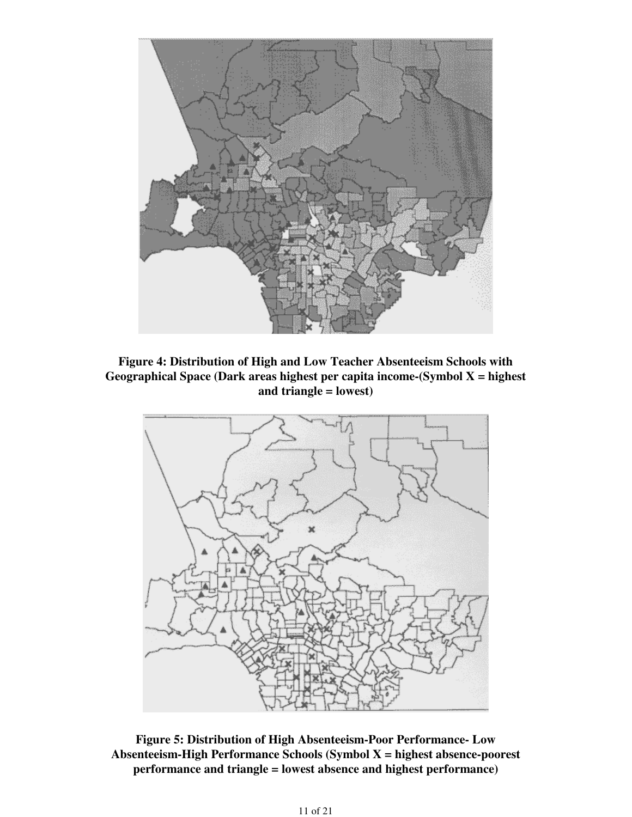

**Figure 4: Distribution of High and Low Teacher Absenteeism Schools with Geographical Space (Dark areas highest per capita income-(Symbol X = highest and triangle = lowest)**



**Figure 5: Distribution of High Absenteeism-Poor Performance- Low Absenteeism-High Performance Schools (Symbol X = highest absence-poorest performance and triangle = lowest absence and highest performance)**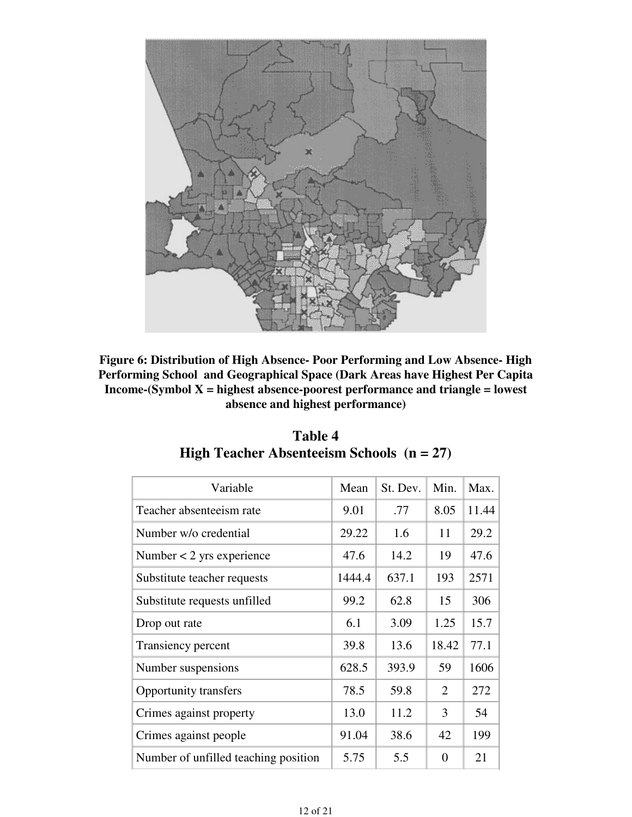

**Figure 6: Distribution of High Absence- Poor Performing and Low Absence- High Performing School and Geographical Space (Dark Areas have Highest Per Capita Income-(Symbol X = highest absence-poorest performance and triangle = lowest absence and highest performance)**

| Variable                             | Mean   | St. Dev. | Min.     | Max.  |
|--------------------------------------|--------|----------|----------|-------|
| Teacher absenteeism rate             | 9.01   | .77      | 8.05     | 11.44 |
| Number w/o credential                | 29.22  | 1.6      | 11       | 29.2  |
| Number $<$ 2 yrs experience          | 47.6   | 14.2     | 19       | 47.6  |
| Substitute teacher requests          | 1444.4 | 637.1    | 193      | 2571  |
| Substitute requests unfilled         | 99.2   | 62.8     | 15       | 306   |
| Drop out rate                        | 6.1    | 3.09     | 1.25     | 15.7  |
| Transiency percent                   | 39.8   | 13.6     | 18.42    | 77.1  |
| Number suspensions                   | 628.5  | 393.9    | 59       | 1606  |
| <b>Opportunity transfers</b>         | 78.5   | 59.8     | 2        | 272   |
| Crimes against property              | 13.0   | 11.2     | 3        | 54    |
| Crimes against people                | 91.04  | 38.6     | 42       | 199   |
| Number of unfilled teaching position | 5.75   | 5.5      | $\theta$ | 21    |

| Table 4                                            |  |
|----------------------------------------------------|--|
| <b>High Teacher Absenteelsm Schools</b> $(n = 27)$ |  |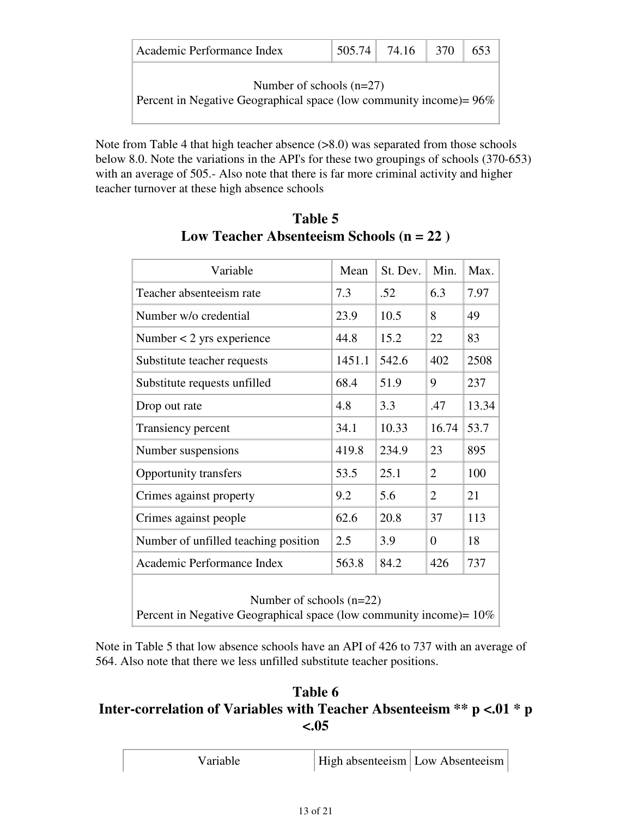| Academic Performance Index |  | $\vert 505.74 \vert 74.16 \vert 370 \vert 653$ |  |  |
|----------------------------|--|------------------------------------------------|--|--|
|----------------------------|--|------------------------------------------------|--|--|

Number of schools (n=27)

Percent in Negative Geographical space (low community income)= 96%

Note from Table 4 that high teacher absence (>8.0) was separated from those schools below 8.0. Note the variations in the API's for these two groupings of schools (370-653) with an average of 505.- Also note that there is far more criminal activity and higher teacher turnover at these high absence schools

| Variable                                                                                             | Mean   | St. Dev. | Min.           | Max.  |
|------------------------------------------------------------------------------------------------------|--------|----------|----------------|-------|
| Teacher absenteeism rate                                                                             | 7.3    | .52      | 6.3            | 7.97  |
| Number w/o credential                                                                                | 23.9   | 10.5     | 8              | 49    |
| Number $<$ 2 yrs experience                                                                          | 44.8   | 15.2     | 22             | 83    |
| Substitute teacher requests                                                                          | 1451.1 | 542.6    | 402            | 2508  |
| Substitute requests unfilled                                                                         | 68.4   | 51.9     | 9              | 237   |
| Drop out rate                                                                                        | 4.8    | 3.3      | .47            | 13.34 |
| Transiency percent                                                                                   | 34.1   | 10.33    | 16.74          | 53.7  |
| Number suspensions                                                                                   | 419.8  | 234.9    | 23             | 895   |
| Opportunity transfers                                                                                | 53.5   | 25.1     | $\overline{2}$ | 100   |
| Crimes against property                                                                              | 9.2    | 5.6      | $\overline{2}$ | 21    |
| Crimes against people                                                                                | 62.6   | 20.8     | 37             | 113   |
| Number of unfilled teaching position                                                                 | 2.5    | 3.9      | $\overline{0}$ | 18    |
| Academic Performance Index                                                                           | 563.8  | 84.2     | 426            | 737   |
| Number of schools $(n=22)$<br>Percent in Negative Geographical space (low community income) = $10\%$ |        |          |                |       |

**Table 5 Low Teacher Absenteeism Schools (n = 22 )**

Note in Table 5 that low absence schools have an API of 426 to 737 with an average of 564. Also note that there we less unfilled substitute teacher positions.

## **Table 6 Inter-correlation of Variables with Teacher Absenteeism \*\* p <.01 \* p <.05**

| Variable | High absenteeism Low Absenteeism |  |
|----------|----------------------------------|--|
|----------|----------------------------------|--|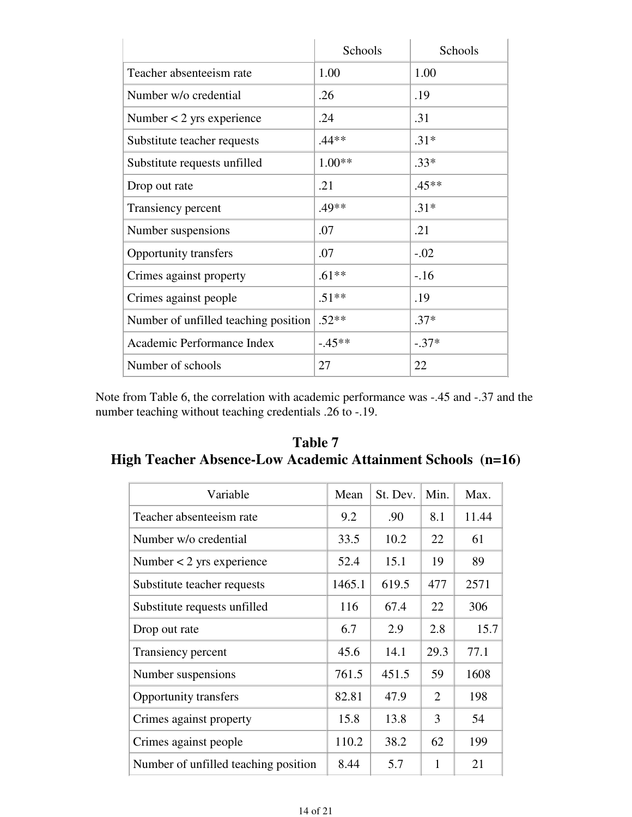|                                      | Schools  | Schools |
|--------------------------------------|----------|---------|
| Teacher absenteeism rate             | 1.00     | 1.00    |
| Number w/o credential                | .26      | .19     |
| Number $<$ 2 yrs experience          | .24      | .31     |
| Substitute teacher requests          | $.44**$  | $.31*$  |
| Substitute requests unfilled         | $1.00**$ | $.33*$  |
| Drop out rate                        | .21      | $.45**$ |
| Transiency percent                   | $.49**$  | $.31*$  |
| Number suspensions                   | .07      | .21     |
| <b>Opportunity transfers</b>         | .07      | $-.02$  |
| Crimes against property              | $.61**$  | $-16$   |
| Crimes against people                | $.51**$  | .19     |
| Number of unfilled teaching position | $.52**$  | $.37*$  |
| Academic Performance Index           | $-45**$  | $-.37*$ |
| Number of schools                    | 27       | 22      |

Note from Table 6, the correlation with academic performance was -.45 and -.37 and the number teaching without teaching credentials .26 to -.19.

**Table 7 High Teacher Absence-Low Academic Attainment Schools (n=16)**

| Variable                             | Mean   | St. Dev. | Min.           | Max.  |
|--------------------------------------|--------|----------|----------------|-------|
| Teacher absenteeism rate             | 9.2    | .90      | 8.1            | 11.44 |
| Number w/o credential                | 33.5   | 10.2     | 22             | 61    |
| Number $<$ 2 yrs experience          | 52.4   | 15.1     | 19             | 89    |
| Substitute teacher requests          | 1465.1 | 619.5    | 477            | 2571  |
| Substitute requests unfilled         | 116    | 67.4     | 22             | 306   |
| Drop out rate                        | 6.7    | 2.9      | 2.8            | 15.7  |
| Transiency percent                   | 45.6   | 14.1     | 29.3           | 77.1  |
| Number suspensions                   | 761.5  | 451.5    | 59             | 1608  |
| <b>Opportunity transfers</b>         | 82.81  | 47.9     | $\overline{2}$ | 198   |
| Crimes against property              | 15.8   | 13.8     | 3              | 54    |
| Crimes against people                | 110.2  | 38.2     | 62             | 199   |
| Number of unfilled teaching position | 8.44   | 5.7      | 1              | 21    |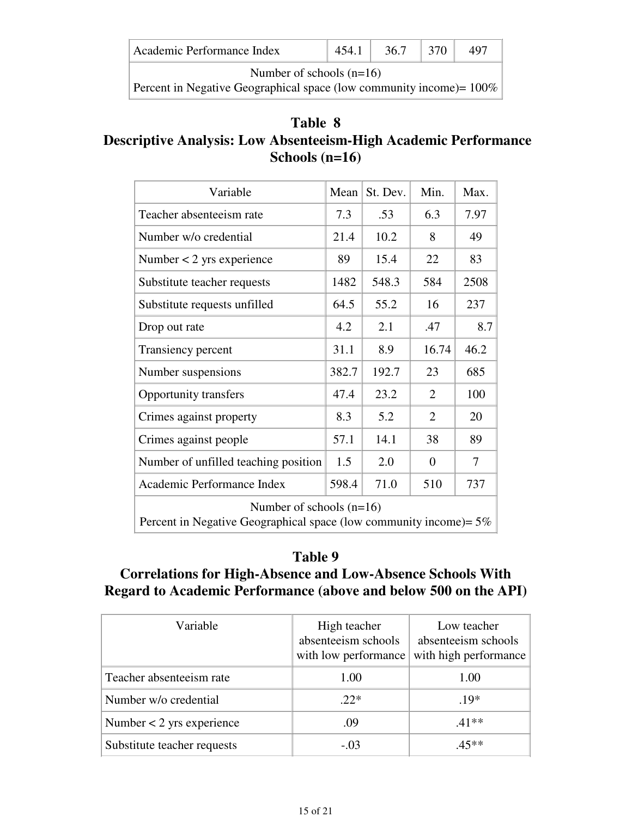|  | Academic Performance Index |  |  |  |  |
|--|----------------------------|--|--|--|--|
|--|----------------------------|--|--|--|--|

Number of schools (n=16)

Percent in Negative Geographical space (low community income)=  $100\%$ 

## **Table 8 Descriptive Analysis: Low Absenteeism-High Academic Performance Schools (n=16)**

| Variable                                                                                            | Mean  | St. Dev. | Min.           | Max.           |  |  |
|-----------------------------------------------------------------------------------------------------|-------|----------|----------------|----------------|--|--|
| Teacher absenteeism rate                                                                            | 7.3   | .53      | 6.3            | 7.97           |  |  |
| Number w/o credential                                                                               | 21.4  | 10.2     | 8              | 49             |  |  |
| Number $<$ 2 yrs experience                                                                         | 89    | 15.4     | 22             | 83             |  |  |
| Substitute teacher requests                                                                         | 1482  | 548.3    | 584            | 2508           |  |  |
| Substitute requests unfilled                                                                        | 64.5  | 55.2     | 16             | 237            |  |  |
| Drop out rate                                                                                       | 4.2   | 2.1      | .47            | 8.7            |  |  |
| Transiency percent                                                                                  | 31.1  | 8.9      | 16.74          | 46.2           |  |  |
| Number suspensions                                                                                  | 382.7 | 192.7    | 23             | 685            |  |  |
| <b>Opportunity transfers</b>                                                                        | 47.4  | 23.2     | $\overline{2}$ | 100            |  |  |
| Crimes against property                                                                             | 8.3   | 5.2      | $\overline{2}$ | 20             |  |  |
| Crimes against people                                                                               | 57.1  | 14.1     | 38             | 89             |  |  |
| Number of unfilled teaching position                                                                | 1.5   | 2.0      | $\overline{0}$ | $\overline{7}$ |  |  |
| Academic Performance Index                                                                          | 598.4 | 71.0     | 510            | 737            |  |  |
| Number of schools $(n=16)$<br>Percent in Negative Geographical space (low community income) = $5\%$ |       |          |                |                |  |  |

## **Table 9**

## **Correlations for High-Absence and Low-Absence Schools With Regard to Academic Performance (above and below 500 on the API)**

| Variable                    | High teacher<br>absenteeism schools<br>with low performance | Low teacher<br>absenteeism schools<br>with high performance |
|-----------------------------|-------------------------------------------------------------|-------------------------------------------------------------|
| Teacher absenteeism rate    | 1.00                                                        | 1.00                                                        |
| Number w/o credential       | $22*$                                                       | $.19*$                                                      |
| Number $<$ 2 yrs experience | .09                                                         | $.41**$                                                     |
| Substitute teacher requests | $-.03$                                                      | 45**                                                        |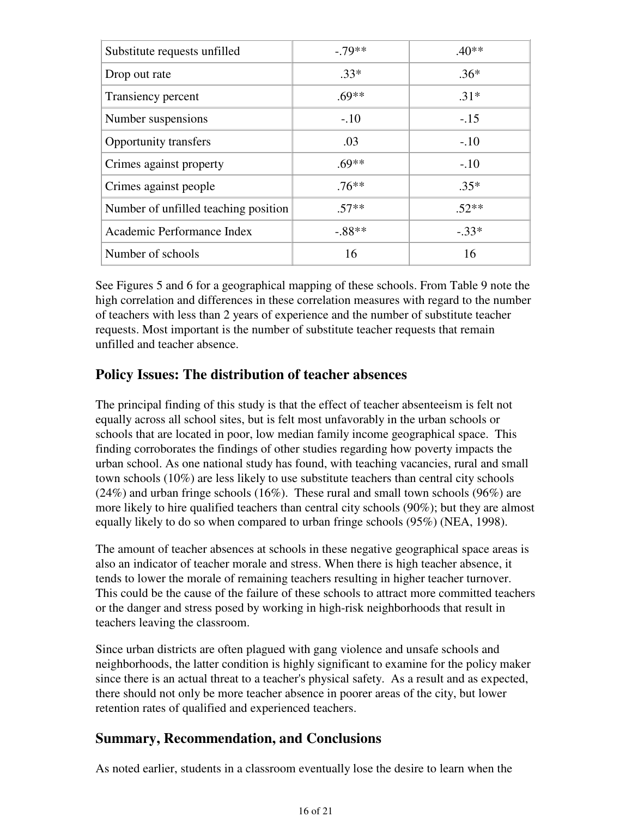| Substitute requests unfilled         | $-79**$  | $.40**$ |
|--------------------------------------|----------|---------|
| Drop out rate                        | $.33*$   | $.36*$  |
| Transiency percent                   | $.69**$  | $.31*$  |
| Number suspensions                   | $-.10$   | $-.15$  |
| Opportunity transfers                | .03      | $-.10$  |
| Crimes against property              | $69**$   | $-.10$  |
| Crimes against people                | .76**    | $.35*$  |
| Number of unfilled teaching position | $.57**$  | $.52**$ |
| Academic Performance Index           | $-.88**$ | $-.33*$ |
| Number of schools                    | 16       | 16      |

See Figures 5 and 6 for a geographical mapping of these schools. From Table 9 note the high correlation and differences in these correlation measures with regard to the number of teachers with less than 2 years of experience and the number of substitute teacher requests. Most important is the number of substitute teacher requests that remain unfilled and teacher absence.

### **Policy Issues: The distribution of teacher absences**

The principal finding of this study is that the effect of teacher absenteeism is felt not equally across all school sites, but is felt most unfavorably in the urban schools or schools that are located in poor, low median family income geographical space. This finding corroborates the findings of other studies regarding how poverty impacts the urban school. As one national study has found, with teaching vacancies, rural and small town schools (10%) are less likely to use substitute teachers than central city schools (24%) and urban fringe schools (16%). These rural and small town schools (96%) are more likely to hire qualified teachers than central city schools (90%); but they are almost equally likely to do so when compared to urban fringe schools (95%) (NEA, 1998).

The amount of teacher absences at schools in these negative geographical space areas is also an indicator of teacher morale and stress. When there is high teacher absence, it tends to lower the morale of remaining teachers resulting in higher teacher turnover. This could be the cause of the failure of these schools to attract more committed teachers or the danger and stress posed by working in high-risk neighborhoods that result in teachers leaving the classroom.

Since urban districts are often plagued with gang violence and unsafe schools and neighborhoods, the latter condition is highly significant to examine for the policy maker since there is an actual threat to a teacher's physical safety. As a result and as expected, there should not only be more teacher absence in poorer areas of the city, but lower retention rates of qualified and experienced teachers.

## **Summary, Recommendation, and Conclusions**

As noted earlier, students in a classroom eventually lose the desire to learn when the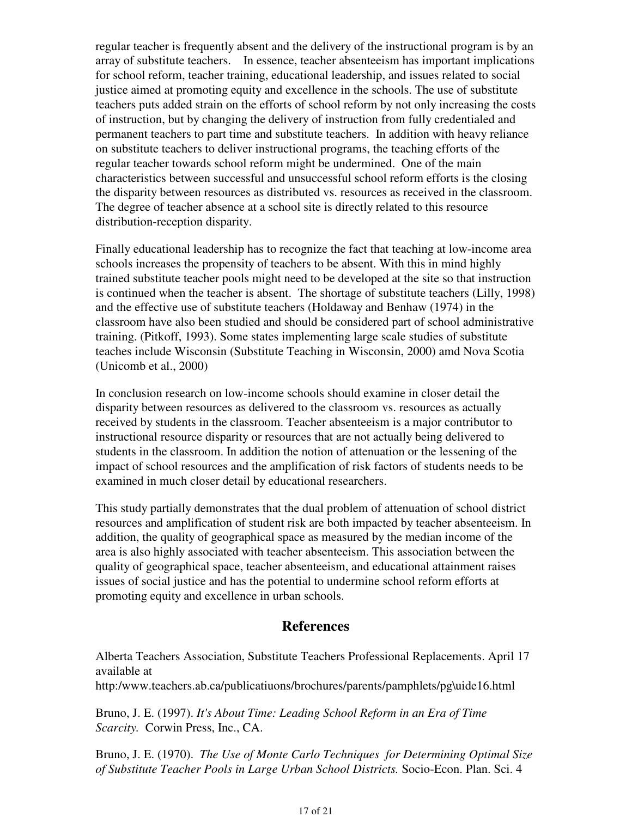regular teacher is frequently absent and the delivery of the instructional program is by an array of substitute teachers. In essence, teacher absenteeism has important implications for school reform, teacher training, educational leadership, and issues related to social justice aimed at promoting equity and excellence in the schools. The use of substitute teachers puts added strain on the efforts of school reform by not only increasing the costs of instruction, but by changing the delivery of instruction from fully credentialed and permanent teachers to part time and substitute teachers. In addition with heavy reliance on substitute teachers to deliver instructional programs, the teaching efforts of the regular teacher towards school reform might be undermined. One of the main characteristics between successful and unsuccessful school reform efforts is the closing the disparity between resources as distributed vs. resources as received in the classroom. The degree of teacher absence at a school site is directly related to this resource distribution-reception disparity.

Finally educational leadership has to recognize the fact that teaching at low-income area schools increases the propensity of teachers to be absent. With this in mind highly trained substitute teacher pools might need to be developed at the site so that instruction is continued when the teacher is absent. The shortage of substitute teachers (Lilly, 1998) and the effective use of substitute teachers (Holdaway and Benhaw (1974) in the classroom have also been studied and should be considered part of school administrative training. (Pitkoff, 1993). Some states implementing large scale studies of substitute teaches include Wisconsin (Substitute Teaching in Wisconsin, 2000) amd Nova Scotia (Unicomb et al., 2000)

In conclusion research on low-income schools should examine in closer detail the disparity between resources as delivered to the classroom vs. resources as actually received by students in the classroom. Teacher absenteeism is a major contributor to instructional resource disparity or resources that are not actually being delivered to students in the classroom. In addition the notion of attenuation or the lessening of the impact of school resources and the amplification of risk factors of students needs to be examined in much closer detail by educational researchers.

This study partially demonstrates that the dual problem of attenuation of school district resources and amplification of student risk are both impacted by teacher absenteeism. In addition, the quality of geographical space as measured by the median income of the area is also highly associated with teacher absenteeism. This association between the quality of geographical space, teacher absenteeism, and educational attainment raises issues of social justice and has the potential to undermine school reform efforts at promoting equity and excellence in urban schools.

### **References**

Alberta Teachers Association, Substitute Teachers Professional Replacements. April 17 available at

http:/www.teachers.ab.ca/publicatiuons/brochures/parents/pamphlets/pg\uide16.html

Bruno, J. E. (1997). *It's About Time: Leading School Reform in an Era of Time Scarcity.* Corwin Press, Inc., CA.

Bruno, J. E. (1970). *The Use of Monte Carlo Techniques for Determining Optimal Size of Substitute Teacher Pools in Large Urban School Districts.* Socio-Econ. Plan. Sci. 4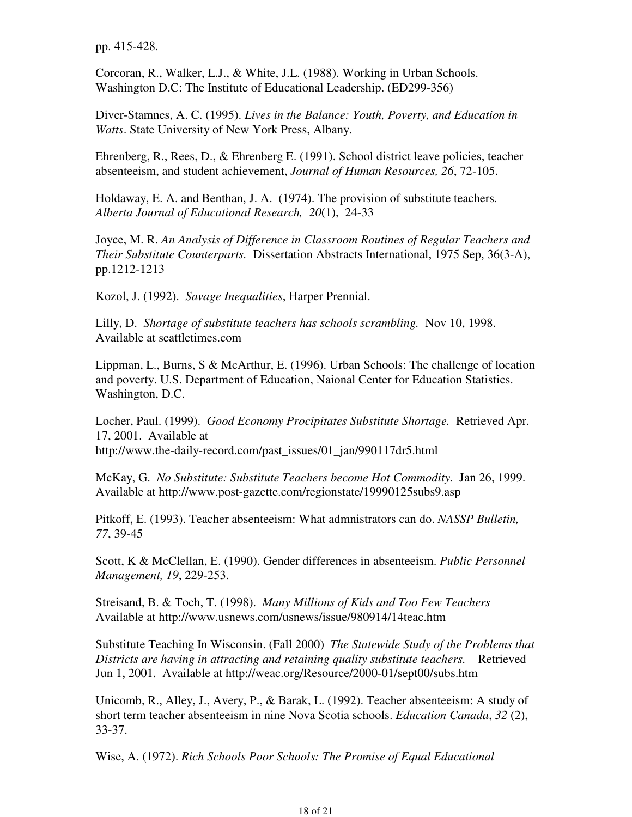pp. 415-428.

Corcoran, R., Walker, L.J., & White, J.L. (1988). Working in Urban Schools. Washington D.C: The Institute of Educational Leadership. (ED299-356)

Diver-Stamnes, A. C. (1995). *Lives in the Balance: Youth, Poverty, and Education in Watts*. State University of New York Press, Albany.

Ehrenberg, R., Rees, D., & Ehrenberg E. (1991). School district leave policies, teacher absenteeism, and student achievement, *Journal of Human Resources, 26*, 72-105.

Holdaway, E. A. and Benthan, J. A. (1974). The provision of substitute teachers*. Alberta Journal of Educational Research, 20*(1), 24-33

Joyce, M. R. *An Analysis of Difference in Classroom Routines of Regular Teachers and Their Substitute Counterparts.* Dissertation Abstracts International, 1975 Sep, 36(3-A), pp.1212-1213

Kozol, J. (1992). *Savage Inequalities*, Harper Prennial.

Lilly, D. *Shortage of substitute teachers has schools scrambling.* Nov 10, 1998. Available at seattletimes.com

Lippman, L., Burns, S & McArthur, E. (1996). Urban Schools: The challenge of location and poverty. U.S. Department of Education, Naional Center for Education Statistics. Washington, D.C.

Locher, Paul. (1999). *Good Economy Procipitates Substitute Shortage.* Retrieved Apr. 17, 2001. Available at http://www.the-daily-record.com/past\_issues/01\_jan/990117dr5.html

McKay, G. *No Substitute: Substitute Teachers become Hot Commodity.* Jan 26, 1999. Available at http://www.post-gazette.com/regionstate/19990125subs9.asp

Pitkoff, E. (1993). Teacher absenteeism: What admnistrators can do. *NASSP Bulletin, 77*, 39-45

Scott, K & McClellan, E. (1990). Gender differences in absenteeism. *Public Personnel Management, 19*, 229-253.

Streisand, B. & Toch, T. (1998). *Many Millions of Kids and Too Few Teachers*  Available at http://www.usnews.com/usnews/issue/980914/14teac.htm

Substitute Teaching In Wisconsin. (Fall 2000) *The Statewide Study of the Problems that Districts are having in attracting and retaining quality substitute teachers.* Retrieved Jun 1, 2001. Available at http://weac.org/Resource/2000-01/sept00/subs.htm

Unicomb, R., Alley, J., Avery, P., & Barak, L. (1992). Teacher absenteeism: A study of short term teacher absenteeism in nine Nova Scotia schools. *Education Canada*, *32* (2), 33-37.

Wise, A. (1972). *Rich Schools Poor Schools: The Promise of Equal Educational*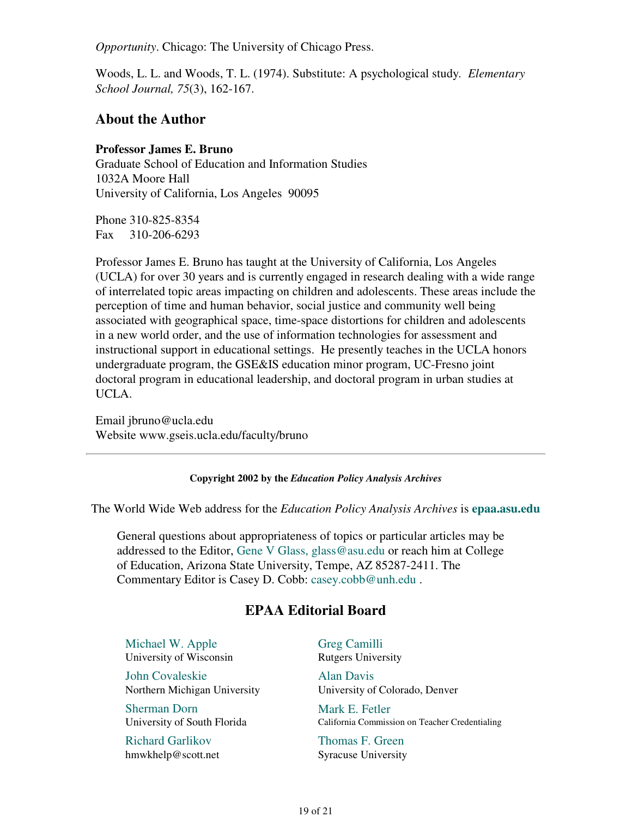*Opportunity*. Chicago: The University of Chicago Press.

Woods, L. L. and Woods, T. L. (1974). Substitute: A psychological study*. Elementary School Journal, 75*(3), 162-167.

#### **About the Author**

#### **Professor James E. Bruno**

Graduate School of Education and Information Studies 1032A Moore Hall University of California, Los Angeles 90095

Phone 310-825-8354 Fax 310-206-6293

Professor James E. Bruno has taught at the University of California, Los Angeles (UCLA) for over 30 years and is currently engaged in research dealing with a wide range of interrelated topic areas impacting on children and adolescents. These areas include the perception of time and human behavior, social justice and community well being associated with geographical space, time-space distortions for children and adolescents in a new world order, and the use of information technologies for assessment and instructional support in educational settings. He presently teaches in the UCLA honors undergraduate program, the GSE&IS education minor program, UC-Fresno joint doctoral program in educational leadership, and doctoral program in urban studies at UCLA.

Email jbruno@ucla.edu Website www.gseis.ucla.edu/faculty/bruno

**Copyright 2002 by the** *Education Policy Analysis Archives*

The World Wide Web address for the *Education Policy Analysis Archives* is **epaa.asu.edu**

General questions about appropriateness of topics or particular articles may be addressed to the Editor, Gene V Glass, glass@asu.edu or reach him at College of Education, Arizona State University, Tempe, AZ 85287-2411. The Commentary Editor is Casey D. Cobb: casey.cobb@unh.edu .

### **EPAA Editorial Board**

Michael W. Apple University of Wisconsin

John Covaleskie Northern Michigan University

Sherman Dorn University of South Florida

Richard Garlikov hmwkhelp@scott.net Greg Camilli Rutgers University

Alan Davis University of Colorado, Denver

Mark E. Fetler California Commission on Teacher Credentialing

Thomas F. Green Syracuse University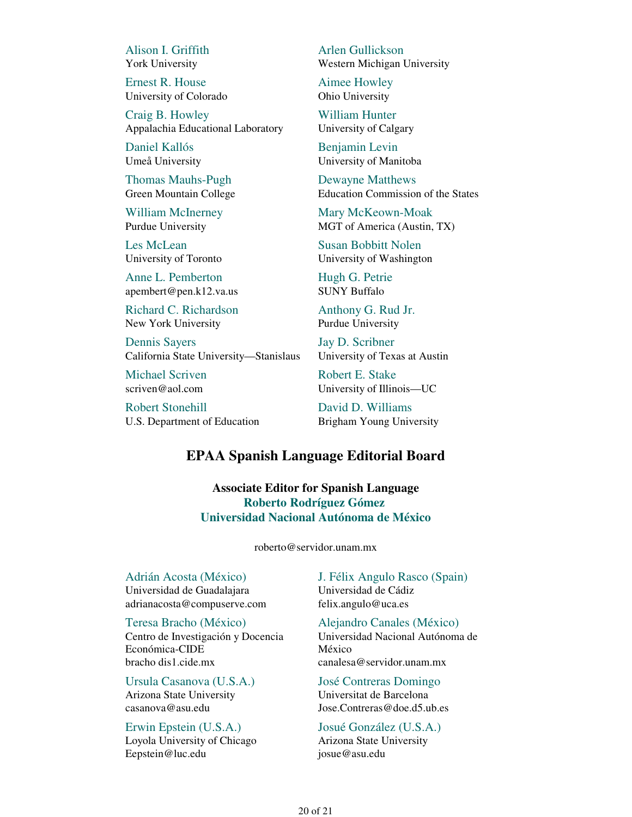Alison I. Griffith York University

Ernest R. House University of Colorado

Craig B. Howley Appalachia Educational Laboratory

Daniel Kallós Umeå University

Thomas Mauhs-Pugh Green Mountain College

William McInerney Purdue University

Les McLean University of Toronto

Anne L. Pemberton apembert@pen.k12.va.us

Richard C. Richardson New York University

Dennis Sayers California State University—Stanislaus

Michael Scriven scriven@aol.com

Robert Stonehill U.S. Department of Education Arlen Gullickson Western Michigan University

Aimee Howley Ohio University

William Hunter University of Calgary

Benjamin Levin University of Manitoba

Dewayne Matthews Education Commission of the States

Mary McKeown-Moak MGT of America (Austin, TX)

Susan Bobbitt Nolen University of Washington

Hugh G. Petrie SUNY Buffalo

Anthony G. Rud Jr. Purdue University

Jay D. Scribner University of Texas at Austin

Robert E. Stake University of Illinois—UC

David D. Williams Brigham Young University

#### **EPAA Spanish Language Editorial Board**

**Associate Editor for Spanish Language Roberto Rodríguez Gómez Universidad Nacional Autónoma de México**

roberto@servidor.unam.mx

Adrián Acosta (México) Universidad de Guadalajara adrianacosta@compuserve.com

Teresa Bracho (México) Centro de Investigación y Docencia Económica-CIDE bracho dis1.cide.mx

Ursula Casanova (U.S.A.) Arizona State University casanova@asu.edu

Erwin Epstein (U.S.A.) Loyola University of Chicago Eepstein@luc.edu

J. Félix Angulo Rasco (Spain) Universidad de Cádiz felix.angulo@uca.es

Alejandro Canales (México) Universidad Nacional Autónoma de México canalesa@servidor.unam.mx

José Contreras Domingo Universitat de Barcelona Jose.Contreras@doe.d5.ub.es

Josué González (U.S.A.) Arizona State University josue@asu.edu